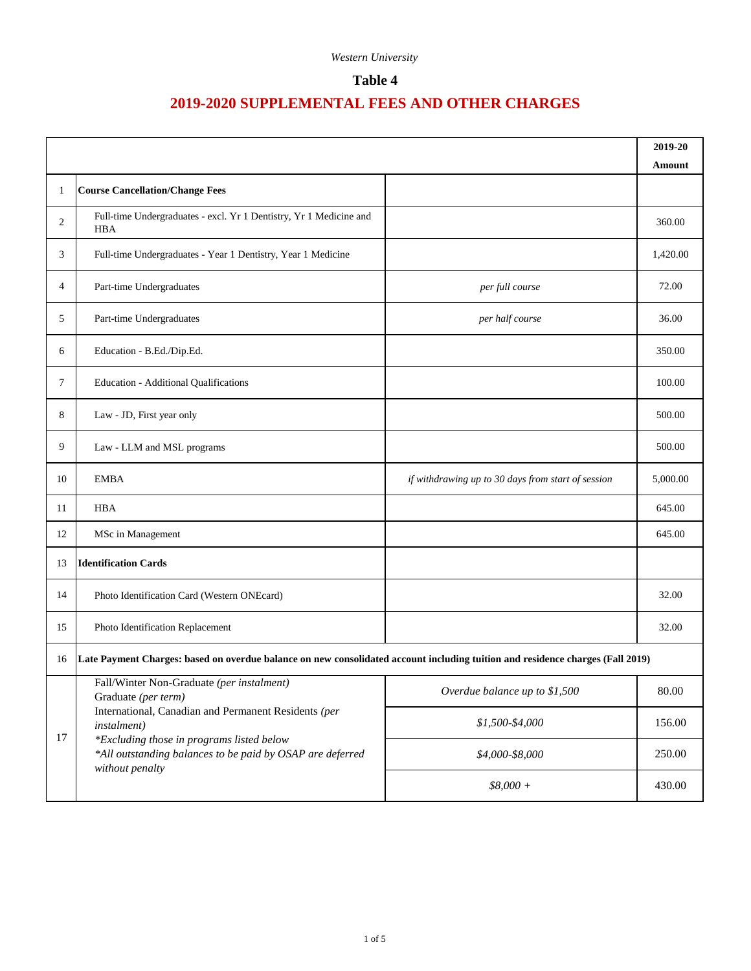### **Table 4**

|    |                                                                                                                                                                                                                                                                                                                                                           |                                                    | 2019-20  |
|----|-----------------------------------------------------------------------------------------------------------------------------------------------------------------------------------------------------------------------------------------------------------------------------------------------------------------------------------------------------------|----------------------------------------------------|----------|
|    |                                                                                                                                                                                                                                                                                                                                                           |                                                    | Amount   |
| 1  | <b>Course Cancellation/Change Fees</b>                                                                                                                                                                                                                                                                                                                    |                                                    |          |
| 2  | Full-time Undergraduates - excl. Yr 1 Dentistry, Yr 1 Medicine and<br><b>HBA</b>                                                                                                                                                                                                                                                                          |                                                    | 360.00   |
| 3  | Full-time Undergraduates - Year 1 Dentistry, Year 1 Medicine                                                                                                                                                                                                                                                                                              |                                                    | 1,420.00 |
| 4  | Part-time Undergraduates                                                                                                                                                                                                                                                                                                                                  | per full course                                    | 72.00    |
| 5  | Part-time Undergraduates                                                                                                                                                                                                                                                                                                                                  | per half course                                    | 36.00    |
| 6  | Education - B.Ed./Dip.Ed.                                                                                                                                                                                                                                                                                                                                 |                                                    | 350.00   |
| 7  | <b>Education - Additional Qualifications</b>                                                                                                                                                                                                                                                                                                              |                                                    | 100.00   |
| 8  | Law - JD, First year only                                                                                                                                                                                                                                                                                                                                 |                                                    | 500.00   |
| 9  | Law - LLM and MSL programs                                                                                                                                                                                                                                                                                                                                |                                                    | 500.00   |
| 10 | <b>EMBA</b>                                                                                                                                                                                                                                                                                                                                               | if withdrawing up to 30 days from start of session | 5,000.00 |
| 11 | <b>HBA</b>                                                                                                                                                                                                                                                                                                                                                |                                                    | 645.00   |
| 12 | MSc in Management                                                                                                                                                                                                                                                                                                                                         |                                                    | 645.00   |
| 13 | <b>Identification Cards</b>                                                                                                                                                                                                                                                                                                                               |                                                    |          |
| 14 | Photo Identification Card (Western ONEcard)                                                                                                                                                                                                                                                                                                               |                                                    | 32.00    |
| 15 | Photo Identification Replacement                                                                                                                                                                                                                                                                                                                          |                                                    | 32.00    |
| 16 | Late Payment Charges: based on overdue balance on new consolidated account including tuition and residence charges (Fall 2019)                                                                                                                                                                                                                            |                                                    |          |
|    | Fall/Winter Non-Graduate (per instalment)<br>Overdue balance up to \$1,500<br>Graduate (per term)<br>International, Canadian and Permanent Residents (per<br>$$1,500-$4,000$<br>instalment)<br>*Excluding those in programs listed below<br>*All outstanding balances to be paid by OSAP are deferred<br>\$4,000-\$8,000<br>without penalty<br>$$8,000 +$ |                                                    | 80.00    |
|    |                                                                                                                                                                                                                                                                                                                                                           |                                                    | 156.00   |
| 17 |                                                                                                                                                                                                                                                                                                                                                           |                                                    | 250.00   |
|    |                                                                                                                                                                                                                                                                                                                                                           | 430.00                                             |          |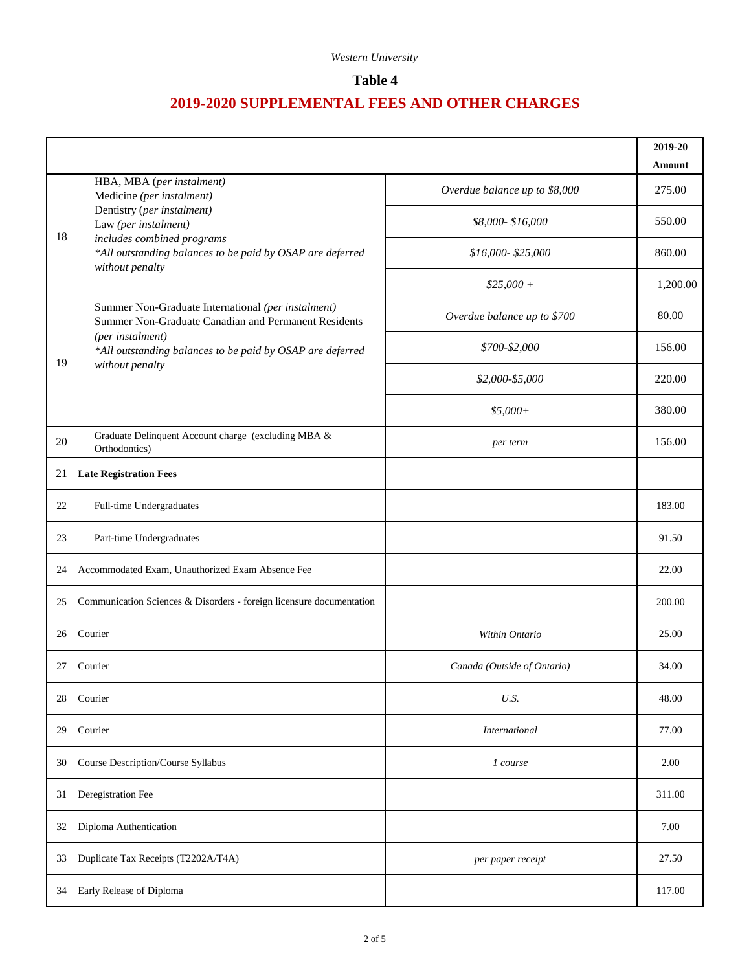#### **Table 4**

|    |                                                                                                            |                               | 2019-20                 |
|----|------------------------------------------------------------------------------------------------------------|-------------------------------|-------------------------|
|    | HBA, MBA (per instalment)                                                                                  | Overdue balance up to \$8,000 | <b>Amount</b><br>275.00 |
|    | Medicine (per instalment)<br>Dentistry (per instalment)                                                    | \$8,000-\$16,000              | 550.00                  |
| 18 | Law (per instalment)<br>includes combined programs                                                         |                               |                         |
|    | *All outstanding balances to be paid by OSAP are deferred<br>without penalty                               | \$16,000-\$25,000             | 860.00                  |
|    |                                                                                                            | $$25,000+$                    | 1,200.00                |
|    | Summer Non-Graduate International (per instalment)<br>Summer Non-Graduate Canadian and Permanent Residents | Overdue balance up to \$700   | 80.00                   |
| 19 | (per instalment)<br>*All outstanding balances to be paid by OSAP are deferred                              | \$700-\$2,000                 | 156.00                  |
|    | without penalty                                                                                            | \$2,000-\$5,000               | 220.00                  |
|    |                                                                                                            | $$5,000+$                     | 380.00                  |
| 20 | Graduate Delinquent Account charge (excluding MBA &<br>Orthodontics)                                       | per term                      | 156.00                  |
| 21 | <b>Late Registration Fees</b>                                                                              |                               |                         |
| 22 | Full-time Undergraduates                                                                                   |                               | 183.00                  |
| 23 | Part-time Undergraduates                                                                                   |                               | 91.50                   |
| 24 | Accommodated Exam, Unauthorized Exam Absence Fee                                                           |                               | 22.00                   |
| 25 | Communication Sciences & Disorders - foreign licensure documentation                                       |                               | 200.00                  |
| 26 | Courier                                                                                                    | Within Ontario                | 25.00                   |
| 27 | Courier                                                                                                    | Canada (Outside of Ontario)   | 34.00                   |
| 28 | Courier                                                                                                    | U.S.                          | 48.00                   |
| 29 | Courier                                                                                                    | <b>International</b>          | 77.00                   |
| 30 | Course Description/Course Syllabus                                                                         | 1 course                      | 2.00                    |
| 31 | Deregistration Fee                                                                                         |                               | 311.00                  |
| 32 | Diploma Authentication                                                                                     |                               | 7.00                    |
| 33 | Duplicate Tax Receipts (T2202A/T4A)                                                                        | per paper receipt             | 27.50                   |
| 34 | Early Release of Diploma                                                                                   |                               | 117.00                  |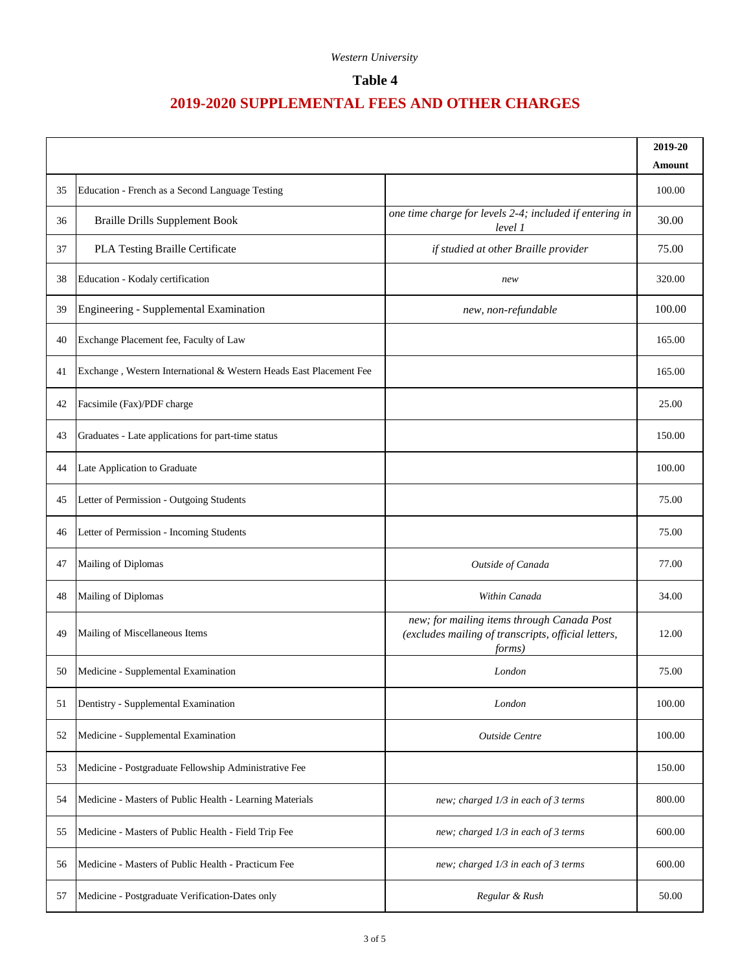### **Table 4**

|    |                                                                    |                                                                                                                     | 2019-20<br>Amount |
|----|--------------------------------------------------------------------|---------------------------------------------------------------------------------------------------------------------|-------------------|
| 35 | Education - French as a Second Language Testing                    |                                                                                                                     | 100.00            |
| 36 | <b>Braille Drills Supplement Book</b>                              | one time charge for levels 2-4; included if entering in<br>level 1                                                  | 30.00             |
| 37 | PLA Testing Braille Certificate                                    | if studied at other Braille provider                                                                                | 75.00             |
| 38 | Education - Kodaly certification                                   | new                                                                                                                 | 320.00            |
| 39 | Engineering - Supplemental Examination                             | new, non-refundable                                                                                                 | 100.00            |
| 40 | Exchange Placement fee, Faculty of Law                             |                                                                                                                     | 165.00            |
| 41 | Exchange, Western International & Western Heads East Placement Fee |                                                                                                                     | 165.00            |
| 42 | Facsimile (Fax)/PDF charge                                         |                                                                                                                     | 25.00             |
| 43 | Graduates - Late applications for part-time status                 |                                                                                                                     | 150.00            |
| 44 | Late Application to Graduate                                       |                                                                                                                     | 100.00            |
| 45 | Letter of Permission - Outgoing Students                           |                                                                                                                     | 75.00             |
| 46 | Letter of Permission - Incoming Students                           |                                                                                                                     | 75.00             |
| 47 | Mailing of Diplomas                                                | Outside of Canada                                                                                                   | 77.00             |
| 48 | Mailing of Diplomas                                                | Within Canada                                                                                                       | 34.00             |
| 49 | Mailing of Miscellaneous Items                                     | new; for mailing items through Canada Post<br>(excludes mailing of transcripts, official letters,<br><i>forms</i> ) | 12.00             |
| 50 | Medicine - Supplemental Examination                                | London                                                                                                              | 75.00             |
| 51 | Dentistry - Supplemental Examination                               | London                                                                                                              | 100.00            |
| 52 | Medicine - Supplemental Examination                                | Outside Centre                                                                                                      | 100.00            |
| 53 | Medicine - Postgraduate Fellowship Administrative Fee              |                                                                                                                     | 150.00            |
| 54 | Medicine - Masters of Public Health - Learning Materials           | new; charged 1/3 in each of 3 terms                                                                                 | 800.00            |
| 55 | Medicine - Masters of Public Health - Field Trip Fee               | new; charged 1/3 in each of 3 terms                                                                                 | 600.00            |
| 56 | Medicine - Masters of Public Health - Practicum Fee                | new; charged 1/3 in each of 3 terms                                                                                 | 600.00            |
| 57 | Medicine - Postgraduate Verification-Dates only                    | Regular & Rush                                                                                                      | 50.00             |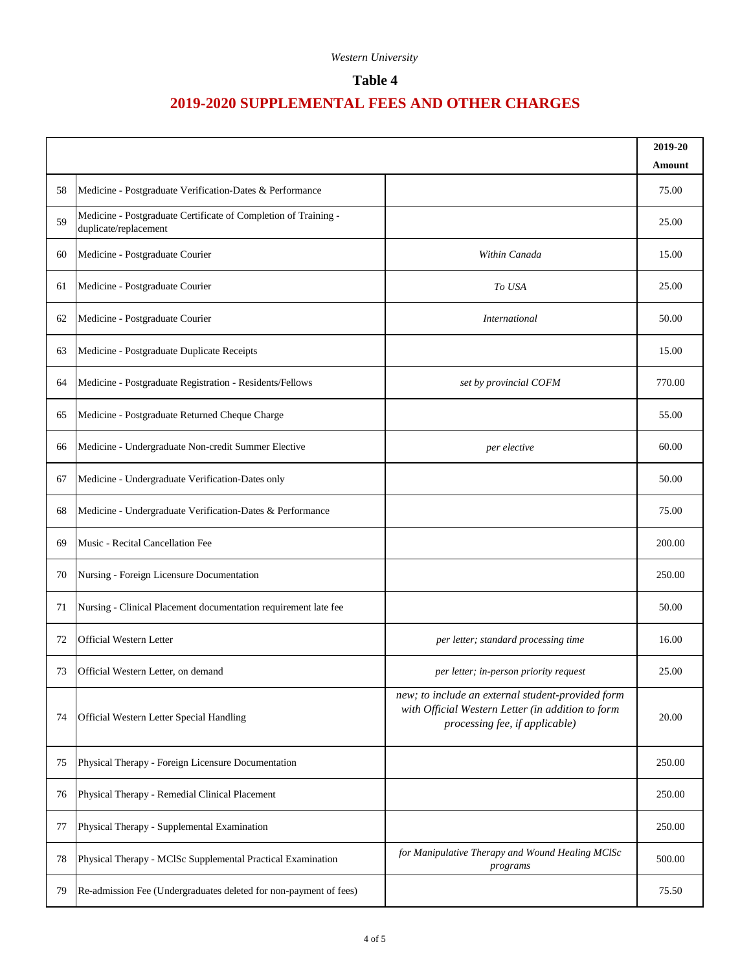### **Table 4**

|    |                                                                                          |                                                                                                                                          | 2019-20<br>Amount |
|----|------------------------------------------------------------------------------------------|------------------------------------------------------------------------------------------------------------------------------------------|-------------------|
| 58 | Medicine - Postgraduate Verification-Dates & Performance                                 |                                                                                                                                          | 75.00             |
| 59 | Medicine - Postgraduate Certificate of Completion of Training -<br>duplicate/replacement |                                                                                                                                          | 25.00             |
| 60 | Medicine - Postgraduate Courier                                                          | Within Canada                                                                                                                            | 15.00             |
| 61 | Medicine - Postgraduate Courier                                                          | To USA                                                                                                                                   | 25.00             |
| 62 | Medicine - Postgraduate Courier                                                          | <i>International</i>                                                                                                                     | 50.00             |
| 63 | Medicine - Postgraduate Duplicate Receipts                                               |                                                                                                                                          | 15.00             |
| 64 | Medicine - Postgraduate Registration - Residents/Fellows                                 | set by provincial COFM                                                                                                                   | 770.00            |
| 65 | Medicine - Postgraduate Returned Cheque Charge                                           |                                                                                                                                          | 55.00             |
| 66 | Medicine - Undergraduate Non-credit Summer Elective                                      | per elective                                                                                                                             | 60.00             |
| 67 | Medicine - Undergraduate Verification-Dates only                                         |                                                                                                                                          | 50.00             |
| 68 | Medicine - Undergraduate Verification-Dates & Performance                                |                                                                                                                                          | 75.00             |
| 69 | Music - Recital Cancellation Fee                                                         |                                                                                                                                          | 200.00            |
| 70 | Nursing - Foreign Licensure Documentation                                                |                                                                                                                                          | 250.00            |
| 71 | Nursing - Clinical Placement documentation requirement late fee                          |                                                                                                                                          | 50.00             |
| 72 | Official Western Letter                                                                  | per letter; standard processing time                                                                                                     | 16.00             |
| 73 | Official Western Letter, on demand                                                       | per letter; in-person priority request                                                                                                   | 25.00             |
| 74 | Official Western Letter Special Handling                                                 | new; to include an external student-provided form<br>with Official Western Letter (in addition to form<br>processing fee, if applicable) | 20.00             |
| 75 | Physical Therapy - Foreign Licensure Documentation                                       |                                                                                                                                          | 250.00            |
| 76 | Physical Therapy - Remedial Clinical Placement                                           |                                                                                                                                          | 250.00            |
| 77 | Physical Therapy - Supplemental Examination                                              |                                                                                                                                          | 250.00            |
| 78 | Physical Therapy - MCISc Supplemental Practical Examination                              | for Manipulative Therapy and Wound Healing MClSc<br>programs                                                                             | 500.00            |
| 79 | Re-admission Fee (Undergraduates deleted for non-payment of fees)                        |                                                                                                                                          | 75.50             |